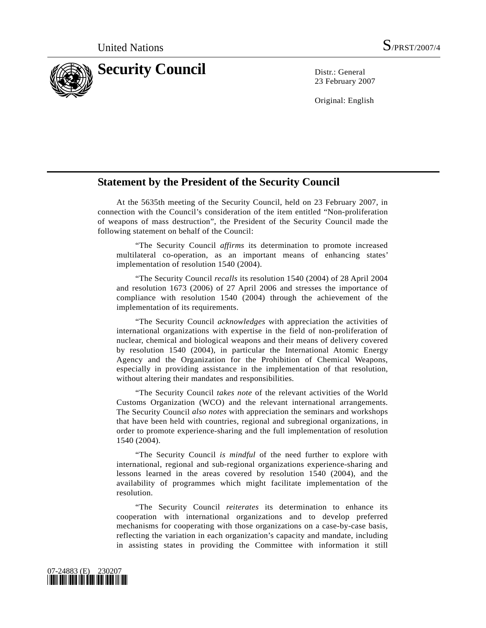

23 February 2007

Original: English

## **Statement by the President of the Security Council**

 At the 5635th meeting of the Security Council, held on 23 February 2007, in connection with the Council's consideration of the item entitled "Non-proliferation of weapons of mass destruction", the President of the Security Council made the following statement on behalf of the Council:

 "The Security Council *affirms* its determination to promote increased multilateral co-operation, as an important means of enhancing states' implementation of resolution 1540 (2004).

 "The Security Council *recalls* its resolution 1540 (2004) of 28 April 2004 and resolution 1673 (2006) of 27 April 2006 and stresses the importance of compliance with resolution 1540 (2004) through the achievement of the implementation of its requirements.

 "The Security Council *acknowledges* with appreciation the activities of international organizations with expertise in the field of non-proliferation of nuclear, chemical and biological weapons and their means of delivery covered by resolution 1540 (2004), in particular the International Atomic Energy Agency and the Organization for the Prohibition of Chemical Weapons, especially in providing assistance in the implementation of that resolution, without altering their mandates and responsibilities.

 "The Security Council *takes note* of the relevant activities of the World Customs Organization (WCO) and the relevant international arrangements. The Security Council *also notes* with appreciation the seminars and workshops that have been held with countries, regional and subregional organizations, in order to promote experience-sharing and the full implementation of resolution 1540 (2004).

 "The Security Council *is mindful* of the need further to explore with international, regional and sub-regional organizations experience-sharing and lessons learned in the areas covered by resolution 1540 (2004), and the availability of programmes which might facilitate implementation of the resolution.

 "The Security Council *reiterates* its determination to enhance its cooperation with international organizations and to develop preferred mechanisms for cooperating with those organizations on a case-by-case basis, reflecting the variation in each organization's capacity and mandate, including in assisting states in providing the Committee with information it still